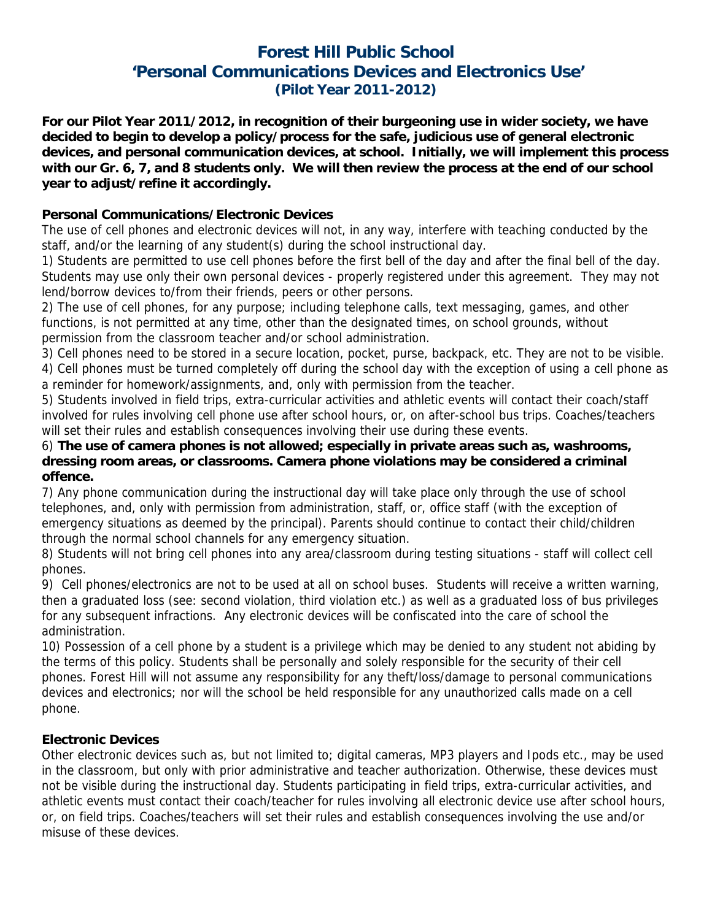## **Forest Hill Public School 'Personal Communications Devices and Electronics Use' (Pilot Year 2011-2012)**

**For our Pilot Year 2011/2012, in recognition of their burgeoning use in wider society, we have decided to begin to develop a policy/process for the safe, judicious use of general electronic devices, and personal communication devices, at school. Initially, we will implement this process with our Gr. 6, 7, and 8 students only. We will then review the process at the end of our school year to adjust/refine it accordingly.** 

### **Personal Communications/Electronic Devices**

The use of cell phones and electronic devices will not, in any way, interfere with teaching conducted by the staff, and/or the learning of any student(s) during the school instructional day.

1) Students are permitted to use cell phones before the first bell of the day and after the final bell of the day. Students may use only their own personal devices - properly registered under this agreement. They may not lend/borrow devices to/from their friends, peers or other persons.

2) The use of cell phones, for any purpose; including telephone calls, text messaging, games, and other functions, is not permitted at any time, other than the designated times, on school grounds, without permission from the classroom teacher and/or school administration.

3) Cell phones need to be stored in a secure location, pocket, purse, backpack, etc. They are not to be visible. 4) Cell phones must be turned completely off during the school day with the exception of using a cell phone as a reminder for homework/assignments, and, only with permission from the teacher.

5) Students involved in field trips, extra-curricular activities and athletic events will contact their coach/staff involved for rules involving cell phone use after school hours, or, on after-school bus trips. Coaches/teachers will set their rules and establish consequences involving their use during these events.

#### 6) **The use of camera phones is not allowed; especially in private areas such as, washrooms, dressing room areas, or classrooms. Camera phone violations may be considered a criminal offence.**

7) Any phone communication during the instructional day will take place only through the use of school telephones, and, only with permission from administration, staff, or, office staff (with the exception of emergency situations as deemed by the principal). Parents should continue to contact their child/children through the normal school channels for any emergency situation.

8) Students will not bring cell phones into any area/classroom during testing situations - staff will collect cell phones.

9) Cell phones/electronics are not to be used at all on school buses. Students will receive a written warning, then a graduated loss (see: second violation, third violation etc.) as well as a graduated loss of bus privileges for any subsequent infractions. Any electronic devices will be confiscated into the care of school the administration.

10) Possession of a cell phone by a student is a privilege which may be denied to any student not abiding by the terms of this policy. Students shall be personally and solely responsible for the security of their cell phones. Forest Hill will not assume any responsibility for any theft/loss/damage to personal communications devices and electronics; nor will the school be held responsible for any unauthorized calls made on a cell phone.

## **Electronic Devices**

Other electronic devices such as, but not limited to; digital cameras, MP3 players and Ipods etc., may be used in the classroom, but only with prior administrative and teacher authorization. Otherwise, these devices must not be visible during the instructional day. Students participating in field trips, extra-curricular activities, and athletic events must contact their coach/teacher for rules involving all electronic device use after school hours, or, on field trips. Coaches/teachers will set their rules and establish consequences involving the use and/or misuse of these devices.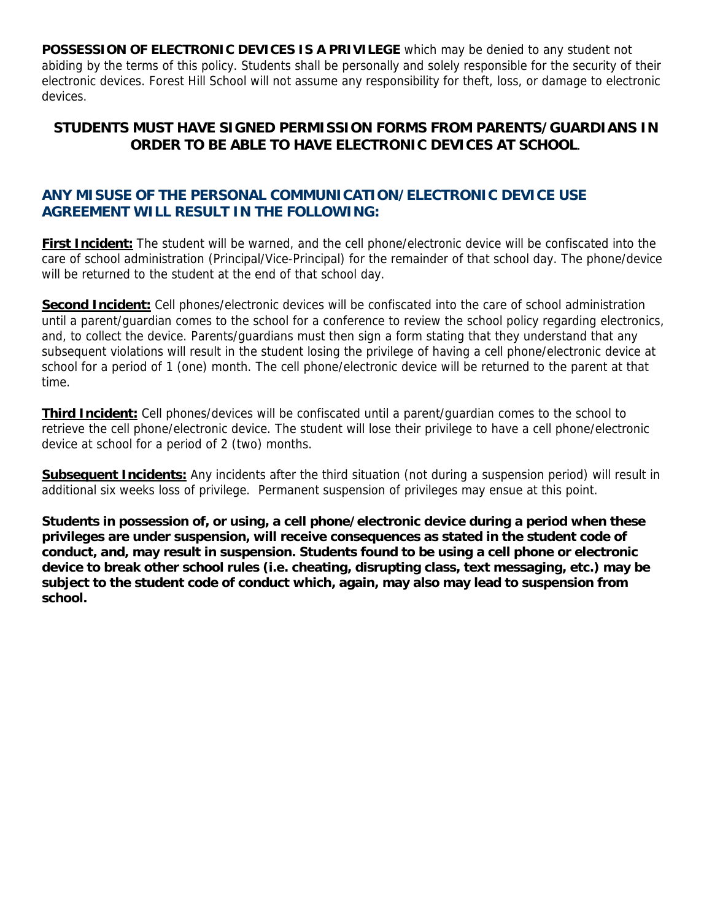**POSSESSION OF ELECTRONIC DEVICES IS A PRIVILEGE** which may be denied to any student not abiding by the terms of this policy. Students shall be personally and solely responsible for the security of their electronic devices. Forest Hill School will not assume any responsibility for theft, loss, or damage to electronic devices.

## **STUDENTS MUST HAVE SIGNED PERMISSION FORMS FROM PARENTS/GUARDIANS IN ORDER TO BE ABLE TO HAVE ELECTRONIC DEVICES AT SCHOOL**.

## **ANY MISUSE OF THE PERSONAL COMMUNICATION/ELECTRONIC DEVICE USE AGREEMENT WILL RESULT IN THE FOLLOWING:**

**First Incident:** The student will be warned, and the cell phone/electronic device will be confiscated into the care of school administration (Principal/Vice-Principal) for the remainder of that school day. The phone/device will be returned to the student at the end of that school day.

**Second Incident:** Cell phones/electronic devices will be confiscated into the care of school administration until a parent/guardian comes to the school for a conference to review the school policy regarding electronics, and, to collect the device. Parents/guardians must then sign a form stating that they understand that any subsequent violations will result in the student losing the privilege of having a cell phone/electronic device at school for a period of 1 (one) month. The cell phone/electronic device will be returned to the parent at that time.

**Third Incident:** Cell phones/devices will be confiscated until a parent/guardian comes to the school to retrieve the cell phone/electronic device. The student will lose their privilege to have a cell phone/electronic device at school for a period of 2 (two) months.

**Subsequent Incidents:** Any incidents after the third situation (not during a suspension period) will result in additional six weeks loss of privilege. Permanent suspension of privileges may ensue at this point.

**Students in possession of, or using, a cell phone/electronic device during a period when these privileges are under suspension, will receive consequences as stated in the student code of conduct, and, may result in suspension. Students found to be using a cell phone or electronic device to break other school rules (i.e. cheating, disrupting class, text messaging, etc.) may be subject to the student code of conduct which, again, may also may lead to suspension from school.**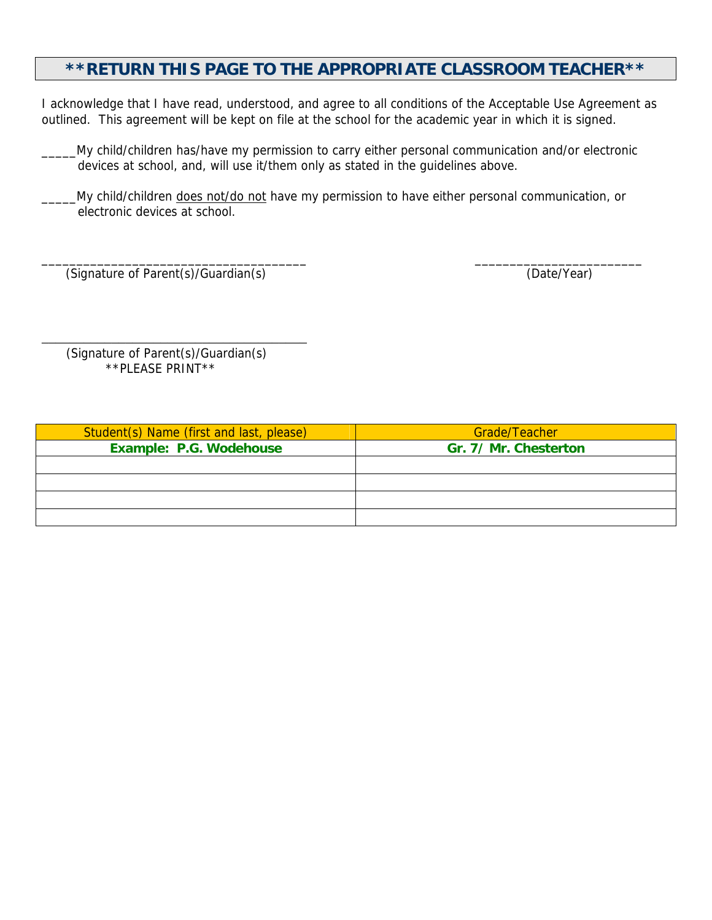## **\*\*RETURN THIS PAGE TO THE APPROPRIATE CLASSROOM TEACHER\*\***

I acknowledge that I have read, understood, and agree to all conditions of the Acceptable Use Agreement as outlined. This agreement will be kept on file at the school for the academic year in which it is signed.

\_\_\_\_\_My child/children has/have my permission to carry either personal communication and/or electronic devices at school, and, will use it/them only as stated in the guidelines above.

LMy child/children does not/do not have my permission to have either personal communication, or electronic devices at school.

\_\_\_\_\_\_\_\_\_\_\_\_\_\_\_\_\_\_\_\_\_\_\_\_\_\_\_\_\_\_\_\_\_\_\_\_\_\_ \_\_\_\_\_\_\_\_\_\_\_\_\_\_\_\_\_\_\_\_\_\_\_\_

(Signature of Parent(s)/Guardian(s) (Date/Year)

 (Signature of Parent(s)/Guardian(s) \*\*PLEASE PRINT\*\*

\_\_\_\_\_\_\_\_\_\_\_\_\_\_\_\_\_\_\_\_\_\_\_\_\_\_\_\_\_\_\_\_\_\_\_\_\_\_

| Student(s) Name (first and last, please) | Grade/Teacher         |
|------------------------------------------|-----------------------|
| Example: P.G. Wodehouse                  | Gr. 7/ Mr. Chesterton |
|                                          |                       |
|                                          |                       |
|                                          |                       |
|                                          |                       |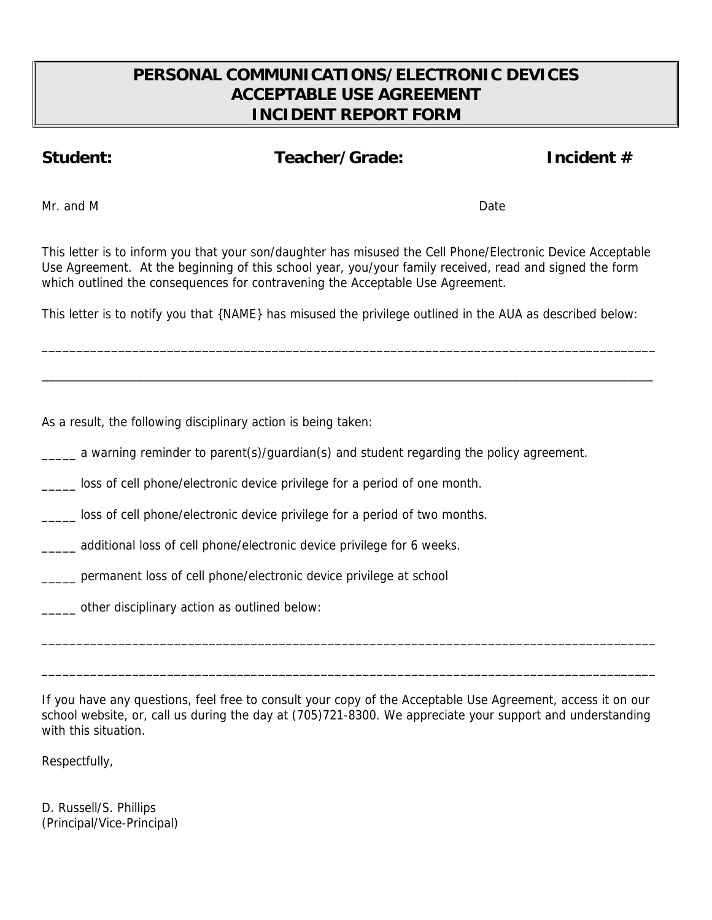# **PERSONAL COMMUNICATIONS/ELECTRONIC DEVICES ACCEPTABLE USE AGREEMENT INCIDENT REPORT FORM**

## Student: Teacher/Grade: Incident #

Mr. and M Date Communication of the Communication of the Date Communication of the Date Communication of the Date

This letter is to inform you that your son/daughter has misused the Cell Phone/Electronic Device Acceptable Use Agreement. At the beginning of this school year, you/your family received, read and signed the form which outlined the consequences for contravening the Acceptable Use Agreement.

This letter is to notify you that {NAME} has misused the privilege outlined in the AUA as described below:

\_\_\_\_\_\_\_\_\_\_\_\_\_\_\_\_\_\_\_\_\_\_\_\_\_\_\_\_\_\_\_\_\_\_\_\_\_\_\_\_\_\_\_\_\_\_\_\_\_\_\_\_\_\_\_\_\_\_\_\_\_\_\_\_\_\_\_\_\_\_\_\_\_\_\_\_\_\_\_\_\_\_\_\_\_\_\_\_

\_\_\_\_\_\_\_\_\_\_\_\_\_\_\_\_\_\_\_\_\_\_\_\_\_\_\_\_\_\_\_\_\_\_\_\_\_\_\_\_\_\_\_\_\_\_\_\_\_\_\_\_\_\_\_\_\_\_\_\_\_\_\_\_\_\_\_\_\_\_\_\_\_\_\_\_\_\_\_\_\_\_\_\_\_\_\_\_\_\_\_\_\_\_\_\_

As a result, the following disciplinary action is being taken:

\_\_\_\_\_ a warning reminder to parent(s)/guardian(s) and student regarding the policy agreement.

\_\_\_\_\_ loss of cell phone/electronic device privilege for a period of one month.

\_\_\_\_\_ loss of cell phone/electronic device privilege for a period of two months.

\_\_\_\_\_ additional loss of cell phone/electronic device privilege for 6 weeks.

\_\_\_\_\_ permanent loss of cell phone/electronic device privilege at school

\_\_\_\_\_ other disciplinary action as outlined below:

If you have any questions, feel free to consult your copy of the Acceptable Use Agreement, access it on our school website, or, call us during the day at (705)721-8300. We appreciate your support and understanding with this situation.

\_\_\_\_\_\_\_\_\_\_\_\_\_\_\_\_\_\_\_\_\_\_\_\_\_\_\_\_\_\_\_\_\_\_\_\_\_\_\_\_\_\_\_\_\_\_\_\_\_\_\_\_\_\_\_\_\_\_\_\_\_\_\_\_\_\_\_\_\_\_\_\_\_\_\_\_\_\_\_\_\_\_\_\_\_\_\_\_

\_\_\_\_\_\_\_\_\_\_\_\_\_\_\_\_\_\_\_\_\_\_\_\_\_\_\_\_\_\_\_\_\_\_\_\_\_\_\_\_\_\_\_\_\_\_\_\_\_\_\_\_\_\_\_\_\_\_\_\_\_\_\_\_\_\_\_\_\_\_\_\_\_\_\_\_\_\_\_\_\_\_\_\_\_\_\_\_

Respectfully,

D. Russell/S. Phillips (Principal/Vice-Principal)